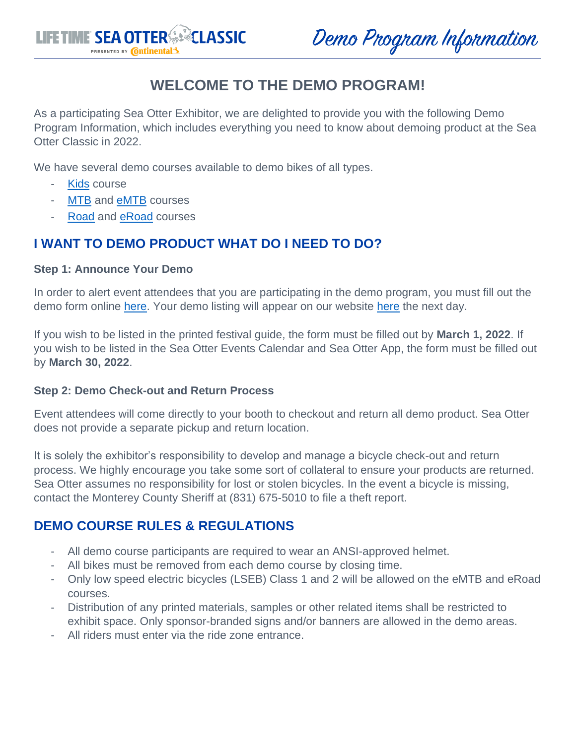

Demo Program Information

# **WELCOME TO THE DEMO PROGRAM!**

As a participating Sea Otter Exhibitor, we are delighted to provide you with the following Demo Program Information, which includes everything you need to know about demoing product at the Sea Otter Classic in 2022.

We have several demo courses available to demo bikes of all types.

- [Kids](#page-1-0) course
- [MTB](#page-1-1) and **eMTB** courses
- [Road](#page-2-0) and [eRoad](#page-2-1) courses

## **I WANT TO DEMO PRODUCT WHAT DO I NEED TO DO?**

#### **Step 1: Announce Your Demo**

In order to alert event attendees that you are participating in the demo program, you must fill out the demo form online [here.](https://www.seaotterclassic.com/2022-demos/) Your demo listing will appear on our website [here](https://www.seaotterclassic.com/demos/) the next day.

If you wish to be listed in the printed festival guide, the form must be filled out by **March 1, 2022**. If you wish to be listed in the Sea Otter Events Calendar and Sea Otter App, the form must be filled out by **March 30, 2022**.

#### **Step 2: Demo Check-out and Return Process**

Event attendees will come directly to your booth to checkout and return all demo product. Sea Otter does not provide a separate pickup and return location.

It is solely the exhibitor's responsibility to develop and manage a bicycle check-out and return process. We highly encourage you take some sort of collateral to ensure your products are returned. Sea Otter assumes no responsibility for lost or stolen bicycles. In the event a bicycle is missing, contact the Monterey County Sheriff at (831) 675-5010 to file a theft report.

### **DEMO COURSE RULES & REGULATIONS**

- All demo course participants are required to wear an ANSI-approved helmet.
- All bikes must be removed from each demo course by closing time.
- Only low speed electric bicycles (LSEB) Class 1 and 2 will be allowed on the eMTB and eRoad courses.
- Distribution of any printed materials, samples or other related items shall be restricted to exhibit space. Only sponsor-branded signs and/or banners are allowed in the demo areas.
- All riders must enter via the ride zone entrance.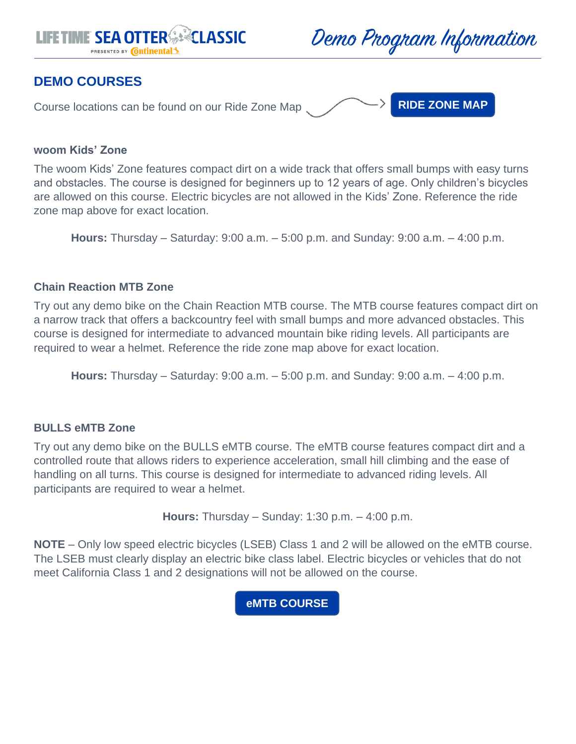



### **DEMO COURSES**

Course locations can be found on our Ride Zone Map

**[RIDE ZONE](http://www.seaotterclassic.com/wp-content/uploads/2022/03/SOC-2022-24x36Map_RideZone_3.3.pdf) MAP**

#### <span id="page-1-0"></span>**woom Kids' Zone**

The woom Kids' Zone features compact dirt on a wide track that offers small bumps with easy turns and obstacles. The course is designed for beginners up to 12 years of age. Only children's bicycles are allowed on this course. Electric bicycles are not allowed in the Kids' Zone. Reference the ride zone map above for exact location.

**Hours:** Thursday – Saturday: 9:00 a.m. – 5:00 p.m. and Sunday: 9:00 a.m. – 4:00 p.m.

#### <span id="page-1-1"></span>**Chain Reaction MTB Zone**

Try out any demo bike on the Chain Reaction MTB course. The MTB course features compact dirt on a narrow track that offers a backcountry feel with small bumps and more advanced obstacles. This course is designed for intermediate to advanced mountain bike riding levels. All participants are required to wear a helmet. Reference the ride zone map above for exact location.

**Hours:** Thursday – Saturday: 9:00 a.m. – 5:00 p.m. and Sunday: 9:00 a.m. – 4:00 p.m.

#### <span id="page-1-2"></span>**BULLS eMTB Zone**

Try out any demo bike on the BULLS eMTB course. The eMTB course features compact dirt and a controlled route that allows riders to experience acceleration, small hill climbing and the ease of handling on all turns. This course is designed for intermediate to advanced riding levels. All participants are required to wear a helmet.

**Hours:** Thursday – Sunday: 1:30 p.m. – 4:00 p.m.

**NOTE** – Only low speed electric bicycles (LSEB) Class 1 and 2 will be allowed on the eMTB course. The LSEB must clearly display an electric bike class label. Electric bicycles or vehicles that do not meet California Class 1 and 2 designations will not be allowed on the course.

**[eMTB COURSE](https://www.seaotterclassic.com/wp-content/uploads/2022/01/EMTMTB.png)**